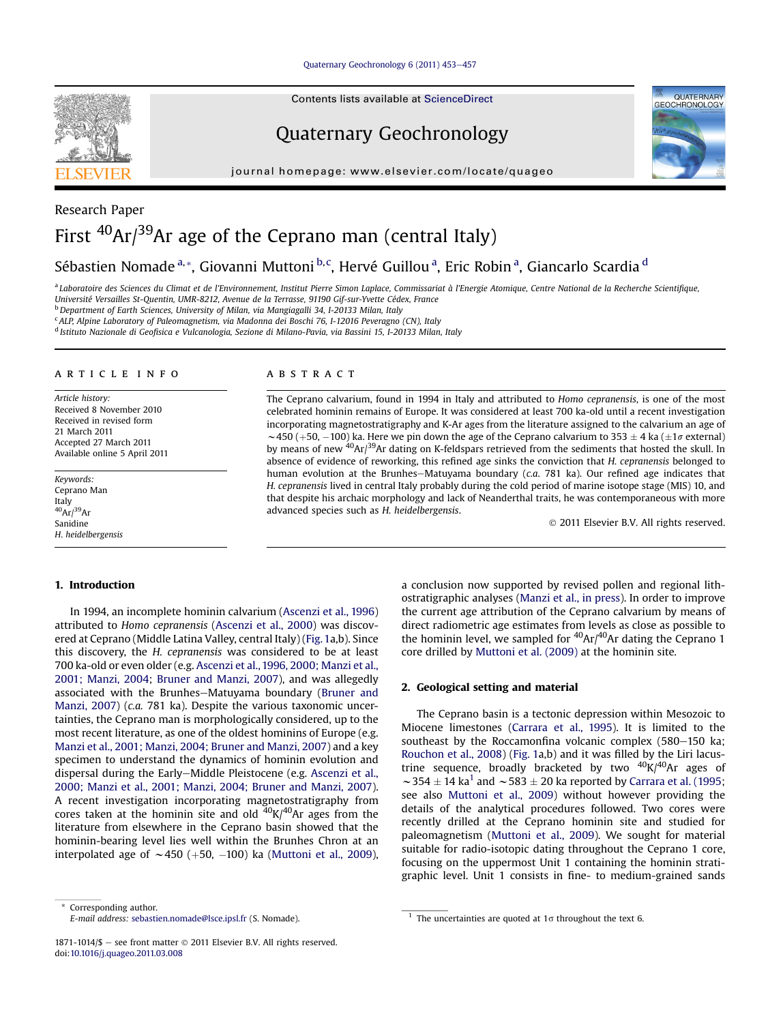Ouaternary Geochronology 6 (2011) 453-[457](http://dx.doi.org/10.1016/j.quageo.2011.03.008)



Contents lists available at ScienceDirect

## Quaternary Geochronology

journal homepage: [www.elsevier.com/locate/quageo](http://www.elsevier.com/locate/quageo)



# Research Paper First  $^{40}$ Ar/ $^{39}$ Ar age of the Ceprano man (central Italy)

## Sébastien Nomade <sup>a, «</sup>, Giovanni Muttoni <sup>b, c</sup>, Hervé Guillou <sup>a</sup>, Eric Robin <sup>a</sup>, Giancarlo Scardia <sup>d</sup>

<sup>a</sup> Laboratoire des Sciences du Climat et de l'Environnement, Institut Pierre Simon Laplace, Commissariat à l'Energie Atomique, Centre National de la Recherche Scientifique, Université Versailles St-Quentin, UMR-8212, Avenue de la Terrasse, 91190 Gif-sur-Yvette Cédex, France

<sup>b</sup> Department of Earth Sciences, University of Milan, via Mangiagalli 34, I-20133 Milan, Italy

<sup>c</sup> ALP, Alpine Laboratory of Paleomagnetism, via Madonna dei Boschi 76, I-12016 Peveragno (CN), Italy

<sup>d</sup> Istituto Nazionale di Geofisica e Vulcanologia, Sezione di Milano-Pavia, via Bassini 15, I-20133 Milan, Italy

### article info

Article history: Received 8 November 2010 Received in revised form 21 March 2011 Accepted 27 March 2011 Available online 5 April 2011

Keywords: Ceprano Man Italy  $^{40}Ar/^{39}Ar$ Sanidine H. heidelbergensis

## **ABSTRACT**

The Ceprano calvarium, found in 1994 in Italy and attributed to Homo cepranensis, is one of the most celebrated hominin remains of Europe. It was considered at least 700 ka-old until a recent investigation incorporating magnetostratigraphy and K-Ar ages from the literature assigned to the calvarium an age of ~450 (+50, -100) ka. Here we pin down the age of the Ceprano calvarium to 353  $\pm$  4 ka ( $\pm$ 1 $\sigma$  external) by means of new <sup>40</sup>Ar/<sup>39</sup>Ar dating on K-feldspars retrieved from the sediments that hosted the skull. In absence of evidence of reworking, this refined age sinks the conviction that H. cepranensis belonged to human evolution at the Brunhes-Matuyama boundary  $(c.a. 781$  ka). Our refined age indicates that H. cepranensis lived in central Italy probably during the cold period of marine isotope stage (MIS) 10, and that despite his archaic morphology and lack of Neanderthal traits, he was contemporaneous with more advanced species such as H. heidelbergensis.

2011 Elsevier B.V. All rights reserved.

## 1. Introduction

In 1994, an incomplete hominin calvarium ([Ascenzi et al., 1996\)](#page-4-0) attributed to Homo cepranensis [\(Ascenzi et al., 2000](#page-4-0)) was discovered at Ceprano (Middle Latina Valley, central Italy) [\(Fig. 1](#page-1-0)a,b). Since this discovery, the H. cepranensis was considered to be at least 700 ka-old or even older (e.g. [Ascenzi et al., 1996, 2000; Manzi et al.,](#page-4-0) [2001; Manzi, 2004;](#page-4-0) [Bruner and Manzi, 2007\)](#page-4-0), and was allegedly associated with the Brunhes–Matuvama boundary [\(Bruner and](#page-4-0) [Manzi, 2007](#page-4-0)) (c.a. 781 ka). Despite the various taxonomic uncertainties, the Ceprano man is morphologically considered, up to the most recent literature, as one of the oldest hominins of Europe (e.g. [Manzi et al., 2001; Manzi, 2004; Bruner and Manzi, 2007](#page-4-0)) and a key specimen to understand the dynamics of hominin evolution and dispersal during the Early-Middle Pleistocene (e.g. [Ascenzi et al.,](#page-4-0) [2000; Manzi et al., 2001; Manzi, 2004; Bruner and Manzi, 2007\)](#page-4-0). A recent investigation incorporating magnetostratigraphy from cores taken at the hominin site and old  $40K/40$ Ar ages from the literature from elsewhere in the Ceprano basin showed that the hominin-bearing level lies well within the Brunhes Chron at an interpolated age of  $\sim$  450 (+50,  $-100$ ) ka ([Muttoni et al., 2009\)](#page-4-0),

a conclusion now supported by revised pollen and regional lithostratigraphic analyses [\(Manzi et al., in press](#page-4-0)). In order to improve the current age attribution of the Ceprano calvarium by means of direct radiometric age estimates from levels as close as possible to the hominin level, we sampled for  $40Ar/40Ar$  dating the Ceprano 1 core drilled by [Muttoni et al. \(2009\)](#page-4-0) at the hominin site.

## 2. Geological setting and material

The Ceprano basin is a tectonic depression within Mesozoic to Miocene limestones [\(Carrara et al., 1995](#page-4-0)). It is limited to the southeast by the Roccamonfina volcanic complex  $(580-150 \text{ ka})$ [Rouchon et al., 2008](#page-4-0)) [\(Fig. 1a](#page-1-0),b) and it was filled by the Liri lacustrine sequence, broadly bracketed by two  $^{40}$ K/ $^{40}$ Ar ages of  $\sim$  354  $\pm$  14 ka<sup>1</sup> and  $\sim$  583  $\pm$  20 ka reported by [Carrara et al. \(1995;](#page-4-0) see also [Muttoni et al., 2009](#page-4-0)) without however providing the details of the analytical procedures followed. Two cores were recently drilled at the Ceprano hominin site and studied for paleomagnetism [\(Muttoni et al., 2009](#page-4-0)). We sought for material suitable for radio-isotopic dating throughout the Ceprano 1 core, focusing on the uppermost Unit 1 containing the hominin stratigraphic level. Unit 1 consists in fine- to medium-grained sands

Corresponding author. E-mail address: [sebastien.nomade@lsce.ipsl.fr](mailto:sebastien.nomade@lsce.ipsl.fr) (S. Nomade).  $1$  The uncertainties are quoted at 1s throughout the text 6.

<sup>1871-1014/\$ -</sup> see front matter © 2011 Elsevier B.V. All rights reserved. doi[:10.1016/j.quageo.2011.03.008](http://dx.doi.org/10.1016/j.quageo.2011.03.008)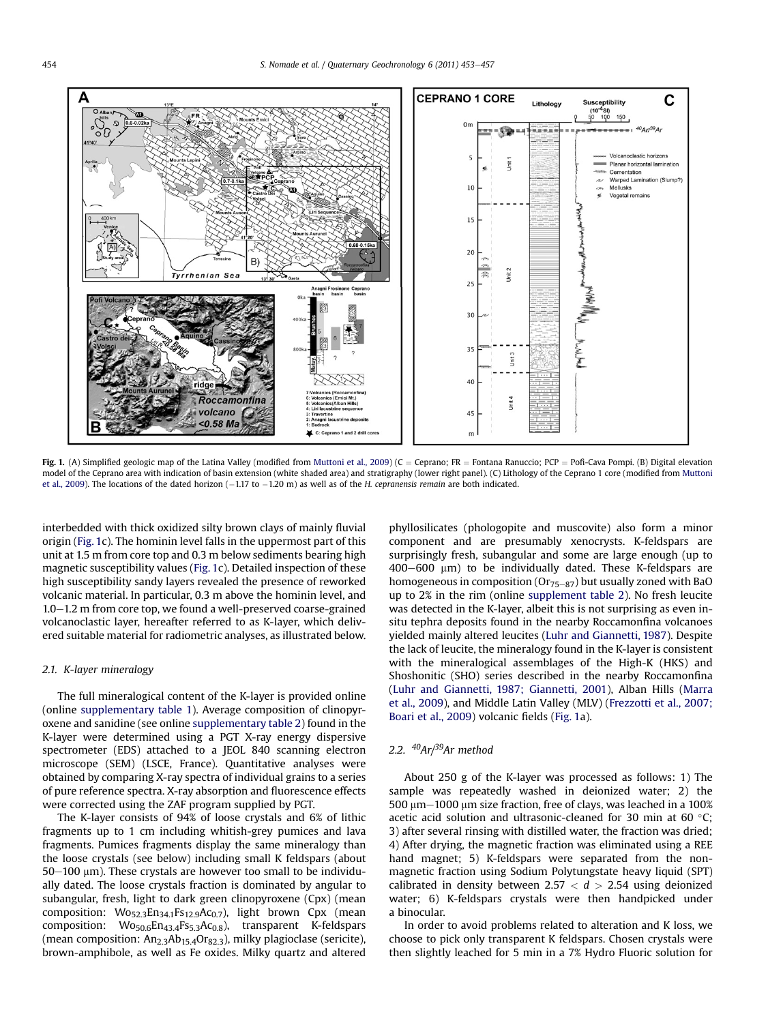<span id="page-1-0"></span>

Fig. 1. (A) Simplified geologic map of the Latina Valley (modified from [Muttoni et al., 2009\)](#page-4-0) (C = Ceprano; FR = Fontana Ranuccio; PCP = Pofi-Cava Pompi. (B) Digital elevation model of the Ceprano area with indication of basin extension (white shaded area) and stratigraphy (lower right panel). (C) Lithology of the Ceprano 1 core (modified from [Muttoni](#page-4-0) [et al., 2009\)](#page-4-0). The locations of the dated horizon ( $-1.17$  to  $-1.20$  m) as well as of the H. cepranensis remain are both indicated.

interbedded with thick oxidized silty brown clays of mainly fluvial origin (Fig. 1c). The hominin level falls in the uppermost part of this unit at 1.5 m from core top and 0.3 m below sediments bearing high magnetic susceptibility values (Fig. 1c). Detailed inspection of these high susceptibility sandy layers revealed the presence of reworked volcanic material. In particular, 0.3 m above the hominin level, and  $1.0-1.2$  m from core top, we found a well-preserved coarse-grained volcanoclastic layer, hereafter referred to as K-layer, which delivered suitable material for radiometric analyses, as illustrated below.

### 2.1. K-layer mineralogy

The full mineralogical content of the K-layer is provided online (online supplementary table 1). Average composition of clinopyroxene and sanidine (see online supplementary table 2) found in the K-layer were determined using a PGT X-ray energy dispersive spectrometer (EDS) attached to a JEOL 840 scanning electron microscope (SEM) (LSCE, France). Quantitative analyses were obtained by comparing X-ray spectra of individual grains to a series of pure reference spectra. X-ray absorption and fluorescence effects were corrected using the ZAF program supplied by PGT.

The K-layer consists of 94% of loose crystals and 6% of lithic fragments up to 1 cm including whitish-grey pumices and lava fragments. Pumices fragments display the same mineralogy than the loose crystals (see below) including small K feldspars (about  $50-100$   $\mu$ m). These crystals are however too small to be individually dated. The loose crystals fraction is dominated by angular to subangular, fresh, light to dark green clinopyroxene (Cpx) (mean composition: Wo<sub>52.3</sub>En<sub>34.1</sub>Fs<sub>12.9</sub>Ac<sub>0.7</sub>), light brown Cpx (mean composition: Wo<sub>50.6</sub>En<sub>43.4</sub>Fs<sub>5.3</sub>Ac<sub>0.8</sub>), transparent K-feldspars (mean composition:  $An<sub>2.3</sub>Ab<sub>15.4</sub>Or<sub>82.3</sub>$ ), milky plagioclase (sericite), brown-amphibole, as well as Fe oxides. Milky quartz and altered phyllosilicates (phologopite and muscovite) also form a minor component and are presumably xenocrysts. K-feldspars are surprisingly fresh, subangular and some are large enough (up to  $400-600$   $\mu$ m) to be individually dated. These K-feldspars are homogeneous in composition ( $Or_{75-87}$ ) but usually zoned with BaO up to 2% in the rim (online supplement table 2). No fresh leucite was detected in the K-layer, albeit this is not surprising as even insitu tephra deposits found in the nearby Roccamonfina volcanoes yielded mainly altered leucites [\(Luhr and Giannetti, 1987](#page-4-0)). Despite the lack of leucite, the mineralogy found in the K-layer is consistent with the mineralogical assemblages of the High-K (HKS) and Shoshonitic (SHO) series described in the nearby Roccamonfina ([Luhr and Giannetti, 1987; Giannetti, 2001\)](#page-4-0), Alban Hills [\(Marra](#page-4-0) [et al., 2009\)](#page-4-0), and Middle Latin Valley (MLV) ([Frezzotti et al., 2007;](#page-4-0) [Boari et al., 2009\)](#page-4-0) volcanic fields (Fig. 1a).

## 2.2.  $^{40}Ar/^{39}Ar$  method

About 250 g of the K-layer was processed as follows: 1) The sample was repeatedly washed in deionized water; 2) the  $500 \mu m - 1000 \mu m$  size fraction, free of clays, was leached in a 100% acetic acid solution and ultrasonic-cleaned for 30 min at 60 $\degree$ C; 3) after several rinsing with distilled water, the fraction was dried; 4) After drying, the magnetic fraction was eliminated using a REE hand magnet; 5) K-feldspars were separated from the nonmagnetic fraction using Sodium Polytungstate heavy liquid (SPT) calibrated in density between  $2.57 < d > 2.54$  using deionized water; 6) K-feldspars crystals were then handpicked under a binocular.

In order to avoid problems related to alteration and K loss, we choose to pick only transparent K feldspars. Chosen crystals were then slightly leached for 5 min in a 7% Hydro Fluoric solution for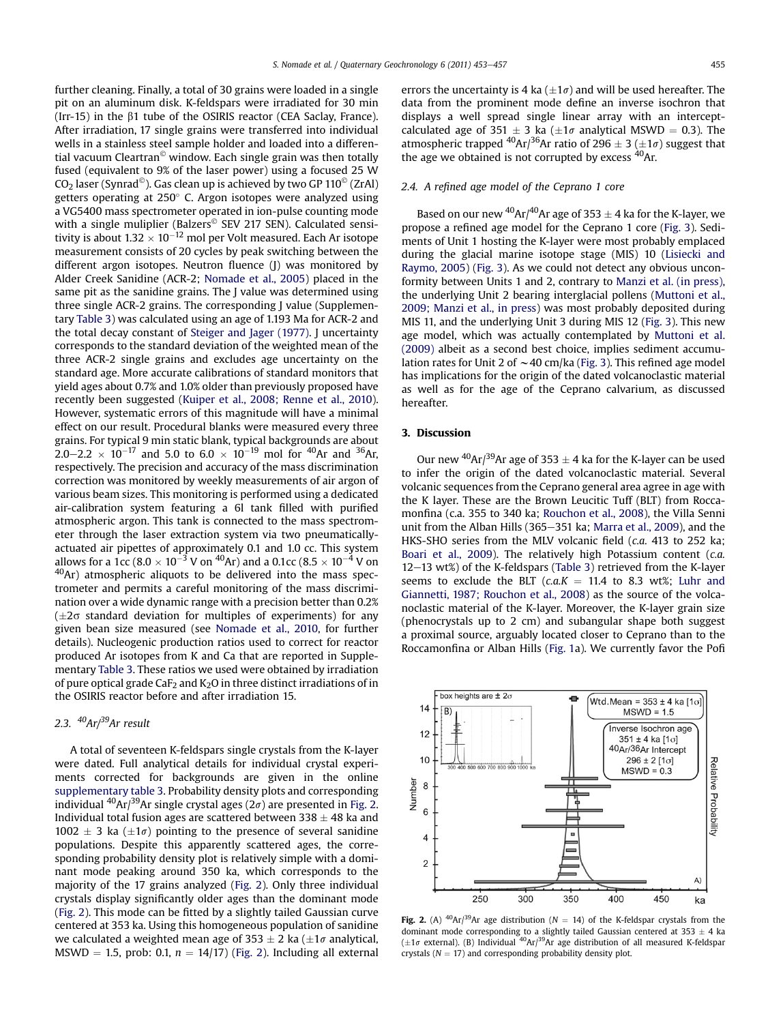further cleaning. Finally, a total of 30 grains were loaded in a single pit on an aluminum disk. K-feldspars were irradiated for 30 min (Irr-15) in the  $\beta$ 1 tube of the OSIRIS reactor (CEA Saclay, France). After irradiation, 17 single grains were transferred into individual wells in a stainless steel sample holder and loaded into a differential vacuum Cleartran $\mathcal O$  window. Each single grain was then totally fused (equivalent to 9% of the laser power) using a focused 25 W  $CO<sub>2</sub>$  laser (Synrad<sup>o</sup>). Gas clean up is achieved by two GP 110<sup>o</sup> (ZrAl) getters operating at  $250^{\circ}$  C. Argon isotopes were analyzed using a VG5400 mass spectrometer operated in ion-pulse counting mode with a single muliplier (Balzers<sup>®</sup> SEV 217 SEN). Calculated sensitivity is about 1.32  $\times$  10<sup>-12</sup> mol per Volt measured. Each Ar isotope measurement consists of 20 cycles by peak switching between the different argon isotopes. Neutron fluence (J) was monitored by Alder Creek Sanidine (ACR-2; [Nomade et al., 2005\)](#page-4-0) placed in the same pit as the sanidine grains. The J value was determined using three single ACR-2 grains. The corresponding J value (Supplementary Table 3) was calculated using an age of 1.193 Ma for ACR-2 and the total decay constant of [Steiger and Jager \(1977\).](#page-4-0) J uncertainty corresponds to the standard deviation of the weighted mean of the three ACR-2 single grains and excludes age uncertainty on the standard age. More accurate calibrations of standard monitors that yield ages about 0.7% and 1.0% older than previously proposed have recently been suggested ([Kuiper et al., 2008; Renne et al., 2010\)](#page-4-0). However, systematic errors of this magnitude will have a minimal effect on our result. Procedural blanks were measured every three grains. For typical 9 min static blank, typical backgrounds are about  $2.0-2.2 \times 10^{-17}$  and 5.0 to  $6.0 \times 10^{-19}$  mol for <sup>40</sup>Ar and <sup>36</sup>Ar, respectively. The precision and accuracy of the mass discrimination correction was monitored by weekly measurements of air argon of various beam sizes. This monitoring is performed using a dedicated air-calibration system featuring a 6l tank filled with purified atmospheric argon. This tank is connected to the mass spectrometer through the laser extraction system via two pneumaticallyactuated air pipettes of approximately 0.1 and 1.0 cc. This system allows for a 1cc (8.0  $\times$  10<sup>-3</sup> V on <sup>40</sup>Ar) and a 0.1cc (8.5  $\times$  10<sup>-4</sup> V on  $40$ Ar) atmospheric aliquots to be delivered into the mass spectrometer and permits a careful monitoring of the mass discrimination over a wide dynamic range with a precision better than 0.2%  $(\pm 2\sigma$  standard deviation for multiples of experiments) for any given bean size measured (see [Nomade et al., 2010,](#page-4-0) for further details). Nucleogenic production ratios used to correct for reactor produced Ar isotopes from K and Ca that are reported in Supplementary Table 3. These ratios we used were obtained by irradiation of pure optical grade CaF<sub>2</sub> and K<sub>2</sub>O in three distinct irradiations of in the OSIRIS reactor before and after irradiation 15.

## 2.3.  $^{40}Ar/^{39}Ar$  result

A total of seventeen K-feldspars single crystals from the K-layer were dated. Full analytical details for individual crystal experiments corrected for backgrounds are given in the online supplementary table 3. Probability density plots and corresponding individual <sup>40</sup>Ar/<sup>39</sup>Ar single crystal ages ( $2\sigma$ ) are presented in Fig. 2. Individual total fusion ages are scattered between  $338 \pm 48$  ka and  $1002 \pm 3$  ka ( $\pm 1\sigma$ ) pointing to the presence of several sanidine populations. Despite this apparently scattered ages, the corresponding probability density plot is relatively simple with a dominant mode peaking around 350 ka, which corresponds to the majority of the 17 grains analyzed (Fig. 2). Only three individual crystals display significantly older ages than the dominant mode (Fig. 2). This mode can be fitted by a slightly tailed Gaussian curve centered at 353 ka. Using this homogeneous population of sanidine we calculated a weighted mean age of 353  $\pm$  2 ka ( $\pm$ 1 $\sigma$  analytical, MSWD = 1.5, prob: 0.1,  $n = 14/17$ ) (Fig. 2). Including all external errors the uncertainty is 4 ka ( $\pm 1\sigma$ ) and will be used hereafter. The data from the prominent mode define an inverse isochron that displays a well spread single linear array with an interceptcalculated age of 351  $\pm$  3 ka ( $\pm$ 1 $\sigma$  analytical MSWD = 0.3). The atmospheric trapped  ${}^{40}Ar/{}^{36}Ar$  ratio of 296  $\pm$  3 ( $\pm$ 1 $\sigma$ ) suggest that the age we obtained is not corrupted by excess  $40$ Ar.

## 2.4. A refined age model of the Ceprano 1 core

Based on our new  $^{40}$ Ar/ $^{40}$ Ar age of 353  $\pm$  4 ka for the K-layer, we propose a refined age model for the Ceprano 1 core [\(Fig. 3\)](#page-3-0). Sediments of Unit 1 hosting the K-layer were most probably emplaced during the glacial marine isotope stage (MIS) 10 [\(Lisiecki and](#page-4-0) [Raymo, 2005](#page-4-0)) ([Fig. 3](#page-3-0)). As we could not detect any obvious unconformity between Units 1 and 2, contrary to [Manzi et al. \(in press\),](#page-4-0) the underlying Unit 2 bearing interglacial pollens [\(Muttoni et al.,](#page-4-0) [2009; Manzi et al., in press](#page-4-0)) was most probably deposited during MIS 11, and the underlying Unit 3 during MIS 12 ([Fig. 3\)](#page-3-0). This new age model, which was actually contemplated by [Muttoni et al.](#page-4-0) [\(2009\)](#page-4-0) albeit as a second best choice, implies sediment accumulation rates for Unit 2 of  $\sim$  40 cm/ka ([Fig. 3](#page-3-0)). This refined age model has implications for the origin of the dated volcanoclastic material as well as for the age of the Ceprano calvarium, as discussed hereafter.

## 3. Discussion

Our new  $^{40}Ar/^{39}Ar$  age of 353  $\pm$  4 ka for the K-layer can be used to infer the origin of the dated volcanoclastic material. Several volcanic sequences from the Ceprano general area agree in age with the K layer. These are the Brown Leucitic Tuff (BLT) from Roccamonfina (c.a. 355 to 340 ka; [Rouchon et al., 2008](#page-4-0)), the Villa Senni unit from the Alban Hills (365–351 ka; [Marra et al., 2009\)](#page-4-0), and the HKS-SHO series from the MLV volcanic field (c.a. 413 to 252 ka; [Boari et al., 2009\)](#page-4-0). The relatively high Potassium content (c.a.  $12-13$  wt%) of the K-feldspars (Table 3) retrieved from the K-layer seems to exclude the BLT (c.a.K = 11.4 to 8.3 wt%; [Luhr and](#page-4-0) [Giannetti, 1987; Rouchon et al., 2008](#page-4-0)) as the source of the volcanoclastic material of the K-layer. Moreover, the K-layer grain size (phenocrystals up to 2 cm) and subangular shape both suggest a proximal source, arguably located closer to Ceprano than to the Roccamonfina or Alban Hills [\(Fig. 1a](#page-1-0)). We currently favor the Pofi



Fig. 2. (A) <sup>40</sup>Ar/<sup>39</sup>Ar age distribution ( $N = 14$ ) of the K-feldspar crystals from the dominant mode corresponding to a slightly tailed Gaussian centered at  $353 \pm 4$  ka  $(\pm 1\sigma$  external). (B) Individual  $^{40}$ Ar/ $^{39}$ Ar age distribution of all measured K-feldspar crystals ( $N = 17$ ) and corresponding probability density plot.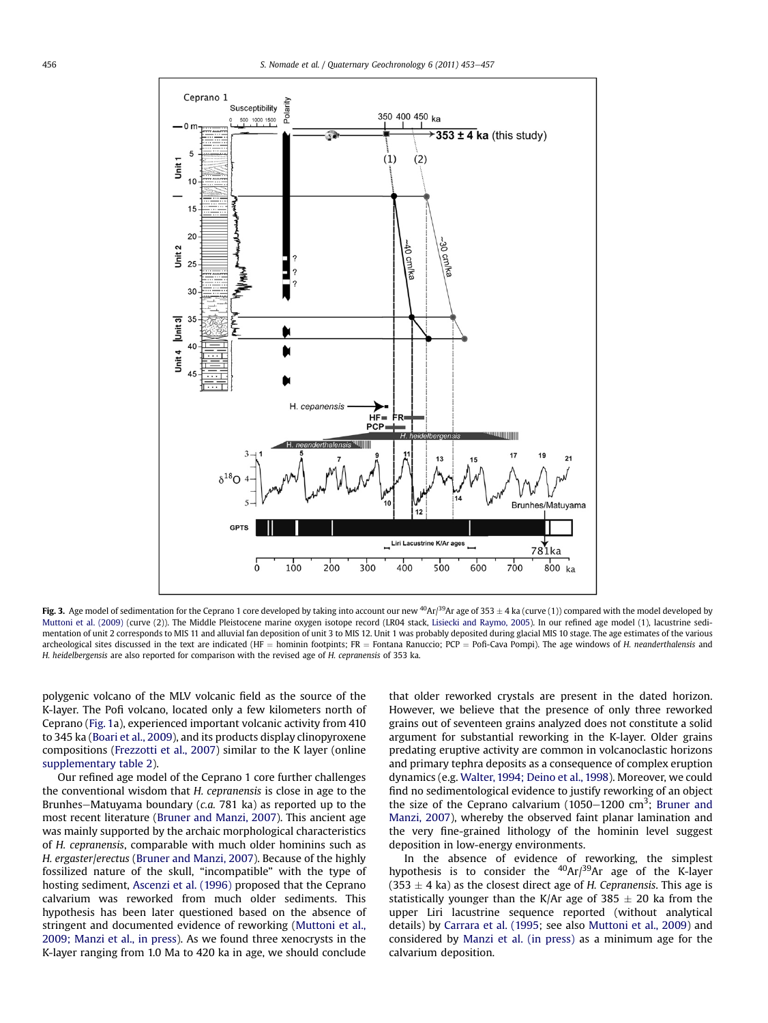<span id="page-3-0"></span>

Fig. 3. Age model of sedimentation for the Ceprano 1 core developed by taking into account our new <sup>40</sup>Ar/<sup>39</sup>Ar age of 353  $\pm$  4 ka (curve (1)) compared with the model developed by [Muttoni et al. \(2009\)](#page-4-0) (curve (2)). The Middle Pleistocene marine oxygen isotope record (LR04 stack, [Lisiecki and Raymo, 2005](#page-4-0)). In our refined age model (1), lacustrine sedimentation of unit 2 corresponds to MIS 11 and alluvial fan deposition of unit 3 to MIS 12. Unit 1 was probably deposited during glacial MIS 10 stage. The age estimates of the various archeological sites discussed in the text are indicated (HF = hominin footpints; FR = Fontana Ranuccio; PCP = Pofi-Cava Pompi). The age windows of H. neanderthalensis and H. heidelbergensis are also reported for comparison with the revised age of H. cepranensis of 353 ka.

polygenic volcano of the MLV volcanic field as the source of the K-layer. The Pofi volcano, located only a few kilometers north of Ceprano [\(Fig. 1](#page-1-0)a), experienced important volcanic activity from 410 to 345 ka ([Boari et al., 2009\)](#page-4-0), and its products display clinopyroxene compositions [\(Frezzotti et al., 2007](#page-4-0)) similar to the K layer (online supplementary table 2).

Our refined age model of the Ceprano 1 core further challenges the conventional wisdom that H. cepranensis is close in age to the Brunhes-Matuyama boundary ( $c.a.$  781 ka) as reported up to the most recent literature ([Bruner and Manzi, 2007](#page-4-0)). This ancient age was mainly supported by the archaic morphological characteristics of H. cepranensis, comparable with much older hominins such as H. ergaster/erectus ([Bruner and Manzi, 2007\)](#page-4-0). Because of the highly fossilized nature of the skull, "incompatible" with the type of hosting sediment, [Ascenzi et al. \(1996\)](#page-4-0) proposed that the Ceprano calvarium was reworked from much older sediments. This hypothesis has been later questioned based on the absence of stringent and documented evidence of reworking [\(Muttoni et al.,](#page-4-0) [2009; Manzi et al., in press](#page-4-0)). As we found three xenocrysts in the K-layer ranging from 1.0 Ma to 420 ka in age, we should conclude that older reworked crystals are present in the dated horizon. However, we believe that the presence of only three reworked grains out of seventeen grains analyzed does not constitute a solid argument for substantial reworking in the K-layer. Older grains predating eruptive activity are common in volcanoclastic horizons and primary tephra deposits as a consequence of complex eruption dynamics (e.g. [Walter, 1994; Deino et al., 1998](#page-4-0)). Moreover, we could find no sedimentological evidence to justify reworking of an object the size of the Ceprano calvarium  $(1050-1200 \text{ cm}^3)$ ; [Bruner and](#page-4-0) [Manzi, 2007](#page-4-0)), whereby the observed faint planar lamination and the very fine-grained lithology of the hominin level suggest deposition in low-energy environments.

In the absence of evidence of reworking, the simplest hypothesis is to consider the  $^{40}Ar/^{39}Ar$  age of the K-layer  $(353 \pm 4 \text{ ka})$  as the closest direct age of H. Cepranensis. This age is statistically younger than the K/Ar age of 385  $\pm$  20 ka from the upper Liri lacustrine sequence reported (without analytical details) by [Carrara et al. \(1995](#page-4-0); see also [Muttoni et al., 2009\)](#page-4-0) and considered by [Manzi et al. \(in press\)](#page-4-0) as a minimum age for the calvarium deposition.